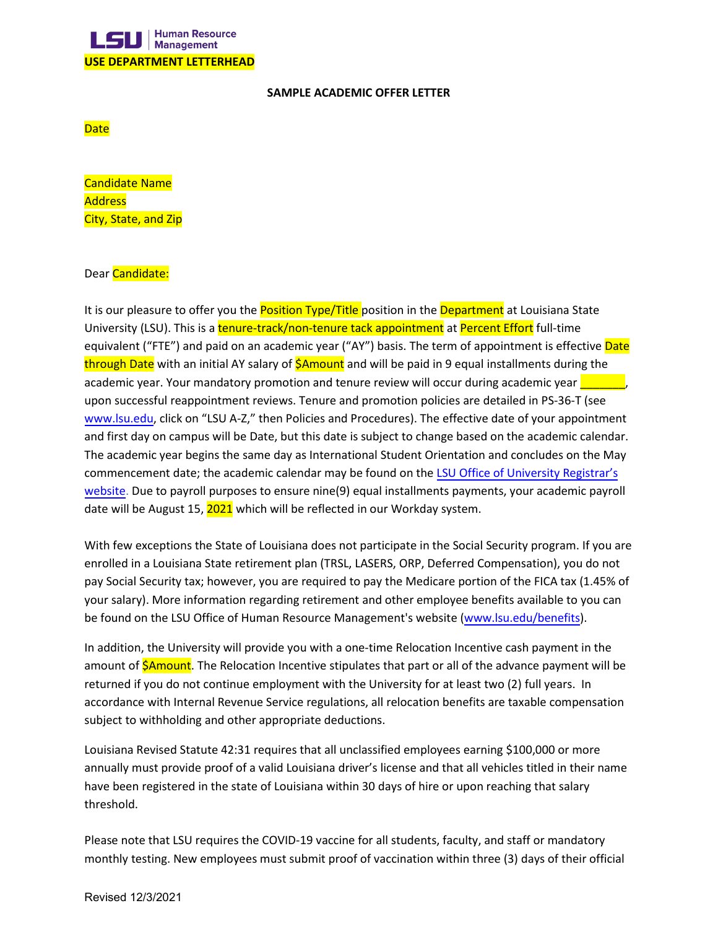

## **SAMPLE ACADEMIC OFFER LETTER**

**Date** 

Candidate Name **Address** City, State, and Zip

## Dear Candidate:

It is our pleasure to offer you the **Position Type/Title** position in the **Department** at Louisiana State University (LSU). This is a tenure-track/non-tenure tack appointment at Percent Effort full-time equivalent ("FTE") and paid on an academic year ("AY") basis. The term of appointment is effective Date through Date with an initial AY salary of **\$Amount** and will be paid in 9 equal installments during the academic year. Your mandatory promotion and tenure review will occur during academic year upon successful reappointment reviews. Tenure and promotion policies are detailed in PS-36-T (see [www.lsu.edu,](http://www.lsu.edu/) click on "LSU A-Z," then Policies and Procedures). The effective date of your appointment and first day on campus will be Date, but this date is subject to change based on the academic calendar. The academic year begins the same day as International Student Orientation and concludes on the May commencement date; the academic calendar may be found on the LSU [Office of University](https://lsu.edu/registrar/academics/academic-calendar.php) Registrar's [website.](https://lsu.edu/registrar/academics/academic-calendar.php) Due to payroll purposes to ensure nine(9) equal installments payments, your academic payroll date will be August 15, 2021 which will be reflected in our Workday system.

With few exceptions the State of Louisiana does not participate in the Social Security program. If you are enrolled in a Louisiana State retirement plan (TRSL, LASERS, ORP, Deferred Compensation), you do not pay Social Security tax; however, you are required to pay the Medicare portion of the FICA tax (1.45% of your salary). More information regarding retirement and other employee benefits available to you can be found on the LSU Office of Human Resource Management's website [\(www.lsu.edu/benefits](http://www.lsu.edu/benefits)).

In addition, the University will provide you with a one-time Relocation Incentive cash payment in the amount of **\$Amount**. The Relocation Incentive stipulates that part or all of the advance payment will be returned if you do not continue employment with the University for at least two (2) full years. In accordance with Internal Revenue Service regulations, all relocation benefits are taxable compensation subject to withholding and other appropriate deductions.

Louisiana Revised Statute 42:31 requires that all unclassified employees earning \$100,000 or more annually must provide proof of a valid Louisiana driver's license and that all vehicles titled in their name have been registered in the state of Louisiana within 30 days of hire or upon reaching that salary threshold.

Please note that LSU requires the COVID-19 vaccine for all students, faculty, and staff or mandatory monthly testing. New employees must submit proof of vaccination within three (3) days of their official